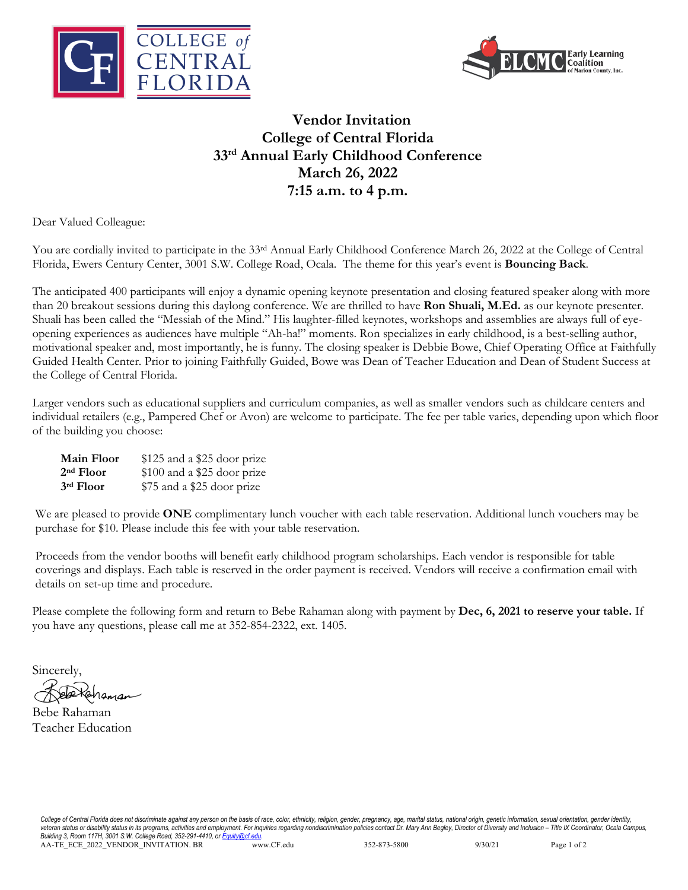



## **Vendor Invitation College of Central Florida 33rd Annual Early Childhood Conference March 26, 2022 7:15 a.m. to 4 p.m.**

Dear Valued Colleague:

You are cordially invited to participate in the 33<sup>rd</sup> Annual Early Childhood Conference March 26, 2022 at the College of Central Florida, Ewers Century Center, 3001 S.W. College Road, Ocala. The theme for this year's event is **Bouncing Back**.

The anticipated 400 participants will enjoy a dynamic opening keynote presentation and closing featured speaker along with more than 20 breakout sessions during this daylong conference. We are thrilled to have **Ron Shuali, M.Ed.** as our keynote presenter. Shuali has been called the "Messiah of the Mind." His laughter-filled keynotes, workshops and assemblies are always full of eyeopening experiences as audiences have multiple "Ah-ha!" moments. Ron specializes in early childhood, is a best-selling author, motivational speaker and, most importantly, he is funny. The closing speaker is Debbie Bowe, Chief Operating Office at Faithfully Guided Health Center. Prior to joining Faithfully Guided, Bowe was Dean of Teacher Education and Dean of Student Success at the College of Central Florida.

Larger vendors such as educational suppliers and curriculum companies, as well as smaller vendors such as childcare centers and individual retailers (e.g., Pampered Chef or Avon) are welcome to participate. The fee per table varies, depending upon which floor of the building you choose:

| <b>Main Floor</b> | \$125 and a \$25 door prize |
|-------------------|-----------------------------|
| $2nd$ Floor       | \$100 and a \$25 door prize |
| 3rd Floor         | \$75 and a \$25 door prize  |

We are pleased to provide **ONE** complimentary lunch voucher with each table reservation. Additional lunch vouchers may be purchase for \$10. Please include this fee with your table reservation.

Proceeds from the vendor booths will benefit early childhood program scholarships. Each vendor is responsible for table coverings and displays. Each table is reserved in the order payment is received. Vendors will receive a confirmation email with details on set-up time and procedure.

Please complete the following form and return to Bebe Rahaman along with payment by **Dec, 6, 2021 to reserve your table.** If you have any questions, please call me at 352-854-2322, ext. 1405.

Sincerely,

1aman

Bebe Rahaman Teacher Education